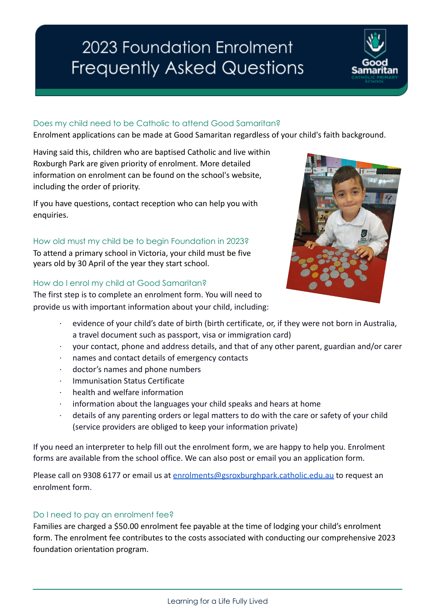# 2023 Foundation Enrolment **Frequently Asked Questions**

### Does my child need to be Catholic to attend Good Samaritan?

Enrolment applications can be made at Good Samaritan regardless of your child's faith background.

Having said this, children who are baptised Catholic and live within Roxburgh Park are given priority of enrolment. More detailed information on enrolment can be found on the school's website, including the order of priority.

If you have questions, contact reception who can help you with enquiries.

# How old must my child be to begin Foundation in 2023?

To attend a primary school in Victoria, your child must be five years old by 30 April of the year they start school.

#### How do I enrol my child at Good Samaritan?

The first step is to complete an enrolment form. You will need to provide us with important information about your child, including:

- evidence of your child's date of birth (birth certificate, or, if they were not born in Australia, a travel document such as passport, visa or immigration card)
- · your contact, phone and address details, and that of any other parent, guardian and/or carer
- · names and contact details of emergency contacts
- doctor's names and phone numbers
- · Immunisation Status Certificate
- health and welfare information
- information about the languages your child speaks and hears at home
- details of any parenting orders or legal matters to do with the care or safety of your child (service providers are obliged to keep your information private)

If you need an interpreter to help fill out the enrolment form, we are happy to help you. Enrolment forms are available from the school office. We can also post or email you an application form.

Please call on 9308 6177 or email us at [enrolments@gsroxburghpark.catholic.edu.au](mailto:enrolments@gsroxburghpark.catholic.edu.au) to request an enrolment form.

#### Do I need to pay an enrolment fee?

Families are charged a \$50.00 enrolment fee payable at the time of lodging your child's enrolment form. The enrolment fee contributes to the costs associated with conducting our comprehensive 2023 foundation orientation program.